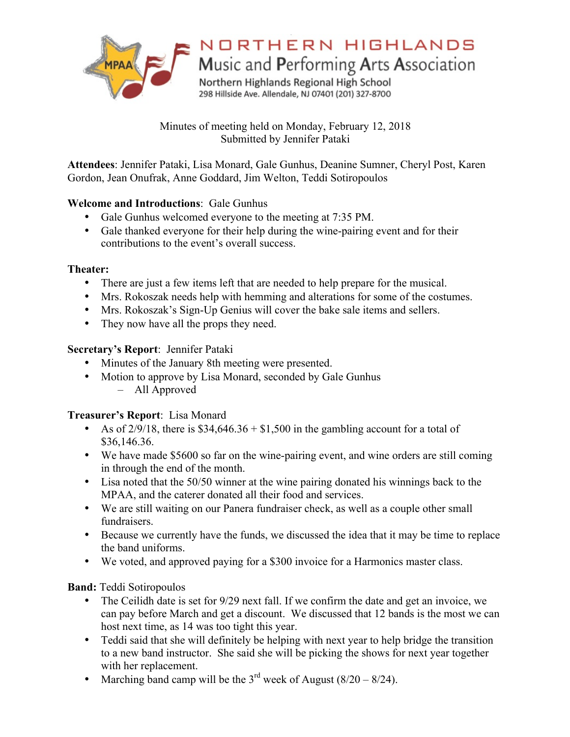

# NORTHERN HIGHLANDS

Music and Performing Arts Association

Northern Highlands Regional High School 298 Hillside Ave. Allendale, NJ 07401 (201) 327-8700

Minutes of meeting held on Monday, February 12, 2018 Submitted by Jennifer Pataki

**Attendees**: Jennifer Pataki, Lisa Monard, Gale Gunhus, Deanine Sumner, Cheryl Post, Karen Gordon, Jean Onufrak, Anne Goddard, Jim Welton, Teddi Sotiropoulos

# **Welcome and Introductions**: Gale Gunhus

- Gale Gunhus welcomed everyone to the meeting at 7:35 PM.
- Gale thanked everyone for their help during the wine-pairing event and for their contributions to the event's overall success.

#### **Theater:**

- There are just a few items left that are needed to help prepare for the musical.
- Mrs. Rokoszak needs help with hemming and alterations for some of the costumes.
- Mrs. Rokoszak's Sign-Up Genius will cover the bake sale items and sellers.
- They now have all the props they need.

#### **Secretary's Report**: Jennifer Pataki

- Minutes of the January 8th meeting were presented.
- Motion to approve by Lisa Monard, seconded by Gale Gunhus – All Approved

#### **Treasurer's Report**: Lisa Monard

- As of  $2/9/18$ , there is \$34,646.36 + \$1,500 in the gambling account for a total of \$36,146.36.
- We have made \$5600 so far on the wine-pairing event, and wine orders are still coming in through the end of the month.
- Lisa noted that the 50/50 winner at the wine pairing donated his winnings back to the MPAA, and the caterer donated all their food and services.
- We are still waiting on our Panera fundraiser check, as well as a couple other small fundraisers.
- Because we currently have the funds, we discussed the idea that it may be time to replace the band uniforms.
- We voted, and approved paying for a \$300 invoice for a Harmonics master class.

**Band:** Teddi Sotiropoulos

- The Ceilidh date is set for 9/29 next fall. If we confirm the date and get an invoice, we can pay before March and get a discount. We discussed that 12 bands is the most we can host next time, as 14 was too tight this year.
- Teddi said that she will definitely be helping with next year to help bridge the transition to a new band instructor. She said she will be picking the shows for next year together with her replacement.
- Marching band camp will be the  $3<sup>rd</sup>$  week of August (8/20 8/24).